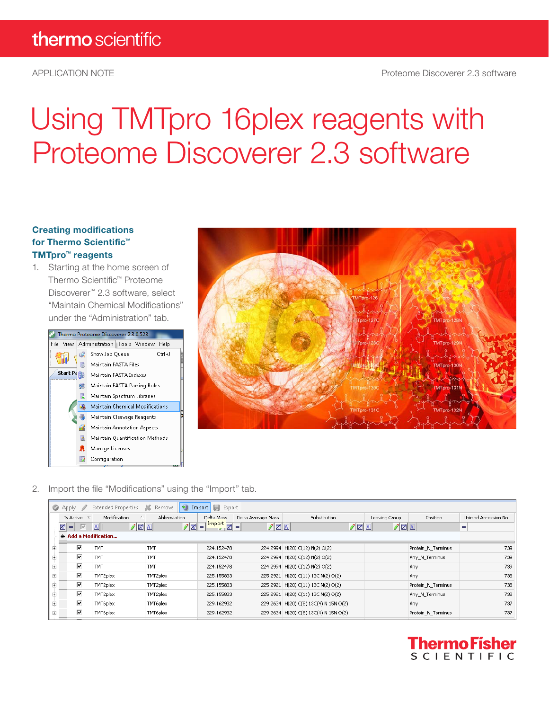# Using TMTpro 16plex reagents with Proteome Discoverer 2.3 software

#### Creating modifications for Thermo Scientific™ TMTpro™ reagents

1. Starting at the home screen of Thermo Scientific™ Proteome Discoverer™ 2.3 software, select "Maintain Chemical Modifications" under the "Administration" tab.





2. Import the file "Modifications" using the "Import" tab.

|                                                                                                                                                   | <b>国</b> Export<br>蟈<br><b>Extended Properties</b><br>Ж<br>Remove<br>Import<br><b>C</b> Apply                                                      |            |            |            |  |                                       |  |                    |     |  |  |  |  |
|---------------------------------------------------------------------------------------------------------------------------------------------------|----------------------------------------------------------------------------------------------------------------------------------------------------|------------|------------|------------|--|---------------------------------------|--|--------------------|-----|--|--|--|--|
|                                                                                                                                                   | Modification<br>Abbreviation<br>Delha Mass<br>Delta Average Mass<br>Substitution<br>Is Active<br>Leaving Group<br>Unimod Accession No.<br>Position |            |            |            |  |                                       |  |                    |     |  |  |  |  |
| Import <sub>s</sub><br><b>1</b> 21<br>ाल<br>丞<br>$\sqrt{2 A }$<br>$\sqrt{2 A }$<br>$\sqrt{2 A }$<br>/ Z A<br>$\Delta$<br>$=$<br>$=$<br>$=$<br>$=$ |                                                                                                                                                    |            |            |            |  |                                       |  |                    |     |  |  |  |  |
|                                                                                                                                                   | * Add a Modification                                                                                                                               |            |            |            |  |                                       |  |                    |     |  |  |  |  |
| F.                                                                                                                                                | ⊽                                                                                                                                                  | <b>TMT</b> | <b>TMT</b> | 224.152478 |  | 224.2994 H(20) C(12) N(2) O(2)        |  | Protein N Terminus | 739 |  |  |  |  |
| 田                                                                                                                                                 | $\overline{\mathbf{v}}$                                                                                                                            | TMT        | TMT        | 224.152478 |  | 224.2994 H(20) C(12) N(2) O(2)        |  | Any N Terminus     | 739 |  |  |  |  |
| Ė.                                                                                                                                                | ⊽                                                                                                                                                  | TMT        | TMT        | 224.152478 |  | 224.2994 H(20) C(12) N(2) O(2)        |  | Any                | 739 |  |  |  |  |
| 中                                                                                                                                                 | $\overline{\mathbf{v}}$                                                                                                                            | TMT2plex   | TMT2plex   | 225.155833 |  | 225.2921 H(20) C(11) 13C N(2) O(2)    |  | Any                | 738 |  |  |  |  |
| Œ.                                                                                                                                                | ⊽                                                                                                                                                  | TMT2plex   | TMT2plex   | 225.155833 |  | 225.2921 H(20) C(11) 13C N(2) O(2)    |  | Protein N Terminus | 738 |  |  |  |  |
| 中                                                                                                                                                 | ⊽                                                                                                                                                  | TMT2plex   | TMT2plex   | 225.155833 |  | 225.2921 H(20) C(11) 13C N(2) O(2)    |  | Any N Terminus     | 738 |  |  |  |  |
| E-                                                                                                                                                | ⊽                                                                                                                                                  | TMT6plex   | TMT6plex   | 229.162932 |  | 229.2634 H(20) C(8) 13C(4) N 15N O(2) |  | Any                | 737 |  |  |  |  |
| 田                                                                                                                                                 | ⊽                                                                                                                                                  | TMT6plex   | TMT6plex   | 229.162932 |  | 229.2634 H(20) C(8) 13C(4) N 15N O(2) |  | Protein N Terminus | 737 |  |  |  |  |

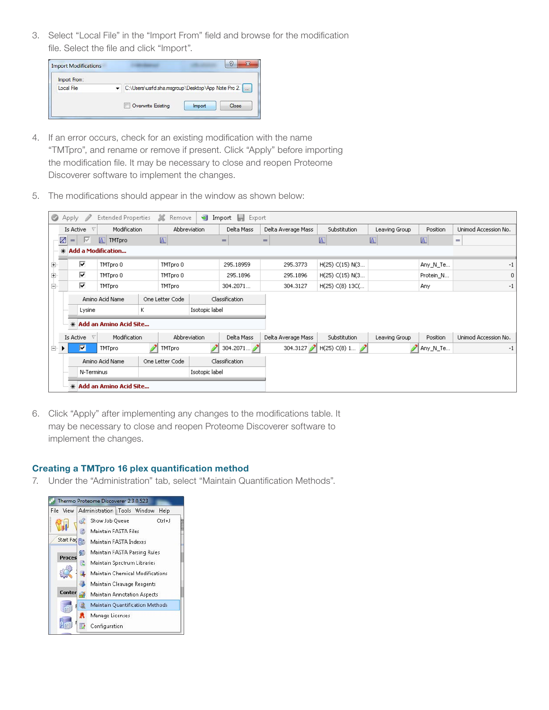3. Select "Local File" in the "Import From" field and browse for the modification file. Select the file and click "Import".

| <b>Import Modifications</b> |                                                    |       |
|-----------------------------|----------------------------------------------------|-------|
| Import From:                |                                                    |       |
| Local File                  | C:\Users\usrfd.sha.msgroup\Desktop\App Note Pro 2. |       |
|                             | Overwrite Existing<br>Import                       | Close |

- 4. If an error occurs, check for an existing modification with the name "TMTpro", and rename or remove if present. Click "Apply" before importing the modification file. It may be necessary to close and reopen Proteome Discoverer software to implement the changes.
- 5. The modifications should appear in the window as shown below:

| ◎           | Apply                                                                                                                                   |                                                        | <b>Extended Properties</b> | ×              | Remove        | Import          | Export<br>ы |                    |                       |                         |            |                      |
|-------------|-----------------------------------------------------------------------------------------------------------------------------------------|--------------------------------------------------------|----------------------------|----------------|---------------|-----------------|-------------|--------------------|-----------------------|-------------------------|------------|----------------------|
|             | Modification<br>Is Active<br>Abbreviation<br>$\nabla$<br>國<br>- I⊠<br>$\overline{A}$<br>A TMTpro<br>$=$<br>Add a Modification<br>$\ast$ |                                                        |                            |                |               |                 | Delta Mass  | Delta Average Mass | Substitution          | Leaving Group           | Position   | Unimod Accession No. |
|             |                                                                                                                                         |                                                        |                            |                |               | $=$             | $=$         | $\overline{A}$     | A                     | $\overline{\mathsf{A}}$ | $=$        |                      |
|             |                                                                                                                                         |                                                        |                            |                |               |                 |             |                    |                       |                         |            |                      |
| Ŧ           |                                                                                                                                         | ⊽<br>TMTpro 0<br>TMTpro 0<br>М<br>TMTpro 0<br>TMTpro 0 |                            | 295,18959      | 295,3773      | H(25) C(15) N(3 |             | Any N_Te           | -1                    |                         |            |                      |
| ŧ           |                                                                                                                                         |                                                        |                            | 295.1896       | 295,1896      | H(25) C(15) N(3 |             | Protein_N          | $\mathbf 0$           |                         |            |                      |
| $\boxminus$ |                                                                                                                                         | ⊽<br><b>TMTpro</b><br><b>TMTpro</b>                    |                            | 304.2071       | 304.3127      | H(25) C(8) 13C( |             | Any                | -1                    |                         |            |                      |
|             | Amino Acid Name<br>One Letter Code<br>ĸ<br>Isotopic label<br>Lysine<br>* Add an Amino Acid Site                                         |                                                        |                            | Classification |               |                 |             |                    |                       |                         |            |                      |
|             |                                                                                                                                         |                                                        |                            |                |               |                 |             |                    |                       |                         |            |                      |
|             |                                                                                                                                         |                                                        |                            |                |               |                 |             |                    |                       |                         |            |                      |
|             |                                                                                                                                         | Modification<br>Is Active<br>$\nabla$                  |                            |                | Abbreviation  |                 | Delta Mass  | Delta Average Mass | Substitution          | Leaving Group           | Position   | Unimod Accession No. |
| E-          |                                                                                                                                         | П<br><b>TMTpro</b>                                     |                            |                | <b>TMTpro</b> |                 | 304.2071    |                    | 304.3127 H(25) C(8) 1 |                         | ∥ Any_N_Te | $-1$                 |
|             | Amino Acid Name<br>One Letter Code                                                                                                      |                                                        |                            |                |               | Classification  |             |                    |                       |                         |            |                      |
|             |                                                                                                                                         | N-Terminus                                             |                            |                |               | Isotopic label  |             |                    |                       |                         |            |                      |
|             | * Add an Amino Acid Site                                                                                                                |                                                        |                            |                |               |                 |             |                    |                       |                         |            |                      |

6. Click "Apply" after implementing any changes to the modifications table. It may be necessary to close and reopen Proteome Discoverer software to implement the changes.

#### Creating a TMTpro 16 plex quantification method

7. Under the "Administration" tab, select "Maintain Quantification Methods".

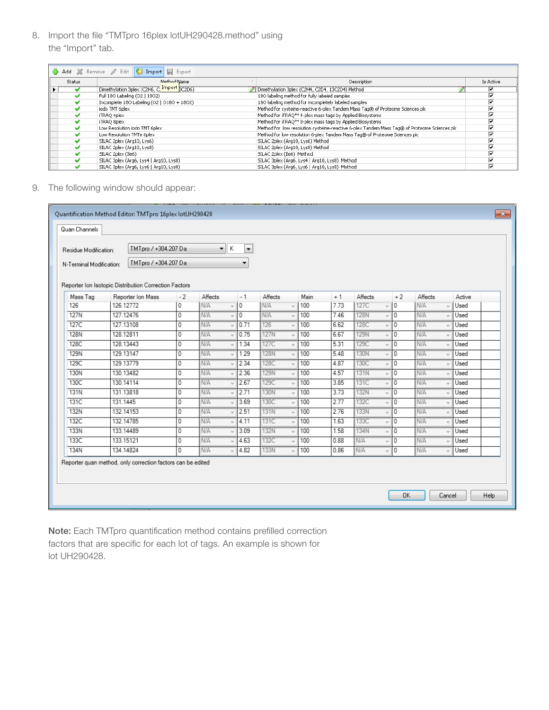8. Import the file "TMTpro 16plex lotUH290428.method" using the "Import" tab.

|                       |               | Add X Remove / Edit   Import   Export       |                                                                                              |                         |
|-----------------------|---------------|---------------------------------------------|----------------------------------------------------------------------------------------------|-------------------------|
|                       | <b>Status</b> | Method Name                                 | Description                                                                                  | Is Active               |
| $\blacktriangleright$ |               | Dimethylation 3plex (C2H6, C. Import 3C2D6) | Dimethylation 3plex (C2H4, C2D4, 13C2D4) Method                                              | ₩                       |
|                       |               | Full 180 Labeling (02   1802)               | 180 labeling method for fully labeled samples                                                | ⊽                       |
|                       |               | Incomplete 180 Labeling (02   0180 + 1802)  | 180 labeling method for incompletely labeled samples                                         | ⊽                       |
|                       |               | iodo TMT 6plex                              | Method for cysteine-reactive 6-plex Tandem Mass Tag® of Proteome Sciences plc                | ⊽                       |
|                       |               | iTRAQ 4plex                                 | Method for iTRAQ™ 4-plex mass tags by Applied Biosystems                                     | ⊽                       |
|                       |               | iTRAO 8plex                                 | Method for iTRAQ™ 8-plex mass tags by Applied Biosystems                                     | ⊽                       |
|                       |               | Low Resolution iodo TMT 6plex               | Method for low resolution cysteine-reactive 6-plex Tandem Mass Tag® of Proteome Sciences plc | ⊽                       |
|                       |               | Low Resolution TMTe 6plex                   | Method for low resolution 6-plex Tandem Mass Tag® of Proteome Sciences plc                   | ⊽                       |
|                       |               | SILAC 2plex (Arg10, Lys6)                   | SILAC 2plex (Arg10, Lys6) Method                                                             | ⊽                       |
|                       |               | SILAC 2plex (Arg10, Lys8)                   | SILAC 2plex (Arg10, Lys8) Method                                                             | $\overline{\mathbf{v}}$ |
|                       |               | SILAC 2plex (Ile6)                          | SILAC 2plex (Ile6) Method                                                                    | ⊽                       |
|                       |               | SILAC 3plex (Arg6, Lys4   Arg10, Lys8)      | SILAC 3plex (Arg6, Lys4   Arg10, Lys8) Method                                                | $\overline{\mathbf{v}}$ |
|                       |               | SILAC 3plex (Arg6, Lys6   Arg10, Lys8)      | SILAC 3plex (Arg6, Lys6   Arg10, Lys8) Method                                                | $\overline{\mathbf{v}}$ |

9. The following window should appear:

| ΙK<br>TMTpro / +304.207 Da<br>$\blacksquare$<br>▼<br>Residue Modification: |                                                                            |                |            |  |      |             |      |      |             |                |            |        |
|----------------------------------------------------------------------------|----------------------------------------------------------------------------|----------------|------------|--|------|-------------|------|------|-------------|----------------|------------|--------|
| N-Terminal Modification:                                                   | TMTpro / +304.207 Da                                                       |                |            |  | ۰    |             |      |      |             |                |            |        |
| Mass Tag                                                                   | Reporter Ion Isotopic Distribution Correction Factors<br>Reporter Ion Mass | $-2$           | Affects    |  | $-1$ | Affects     | Main | $+1$ | Affects     | $+2$           | Affects    | Active |
| 126                                                                        | 126.12772                                                                  | 0              | <b>N/A</b> |  | 0    | N/A         | 100  | 7.73 | 127C        | 0              | <b>N/A</b> | Used   |
| <b>127N</b>                                                                | 127.12476                                                                  | $\overline{0}$ | N/A        |  | 0    | <b>N/A</b>  | 100  | 7.46 | <b>128N</b> | 0              | N/A        | Used   |
| 127C                                                                       | 127.13108                                                                  | 0              | N/A        |  | 0.71 | 126         | 100  | 6.62 | 128C        | 0              | <b>N/A</b> | Used   |
| <b>128N</b>                                                                | 128.12811                                                                  | 0              | N/A        |  | 0.75 | 127N        | 100  | 6.67 | <b>129N</b> | 0              | <b>N/A</b> | Used   |
| 128C                                                                       | 128.13443                                                                  | 0              | <b>N/A</b> |  | 1.34 | 127C        | 100  | 5.31 | 129C        | 0              | <b>N/A</b> | Used   |
| <b>129N</b>                                                                | 129.13147                                                                  | 0              | N/A        |  | 1.29 | 128N        | 100  | 5.48 | 130N        | 0              | N/A        | Used   |
| 129C                                                                       | 129.13779                                                                  | 0              | N/A        |  | 2.34 | 128C        | 100  | 4.87 | 130C        | 10             | N/A        | Used   |
| 130N                                                                       | 130.13482                                                                  | 0              | <b>N/A</b> |  | 2.36 | <b>129N</b> | 100  | 4.57 | <b>131N</b> | 0              | <b>N/A</b> | Used   |
| 130C                                                                       | 130.14114                                                                  | 0              | N/A        |  | 2.67 | 129C        | 100  | 3.85 | 131C        | 0              | N/A        | Used   |
| <b>131N</b>                                                                | 131.13818                                                                  | 0              | N/A        |  | 2.71 | 130N        | 100  | 3.73 | 132N        | 0              | N/A        | Used   |
| 131C                                                                       | 131.1445                                                                   | 0              | N/A        |  | 3.69 | 130C        | 100  | 2.77 | 132C        | 0              | N/A        | Used   |
| 132N                                                                       | 132.14153                                                                  | 0              | <b>N/A</b> |  | 2.51 | <b>131N</b> | 100  | 2.76 | <b>133N</b> | $\overline{0}$ | <b>N/A</b> | Used   |
| 132C                                                                       | 132.14785                                                                  | 0              | N/A        |  | 4.11 | 131C        | 100  | 1.63 | 133C        | 10             | <b>N/A</b> | Used   |
| 133N                                                                       | 133.14489                                                                  | 0              | N/A        |  | 3.09 | 132N        | 100  | 1.58 | 134N        | 0              | <b>N/A</b> | Used   |
| 133C                                                                       | 133.15121                                                                  | 0              | N/A        |  | 4.63 | 132C        | 100  | 0.88 | N/A         | 0              | <b>N/A</b> | Used   |
| <b>134N</b>                                                                | 134.14824                                                                  | $\overline{0}$ | N/A        |  | 4.82 | 133N        | 100  | 0.86 | N/A<br>v    | 0              | <b>N/A</b> | Used   |
|                                                                            | Reporter quan method, only correction factors can be edited                |                |            |  |      |             |      |      |             |                |            |        |

Note: Each TMTpro quantification method contains prefilled correction factors that are specific for each lot of tags. An example is shown for lot UH290428.